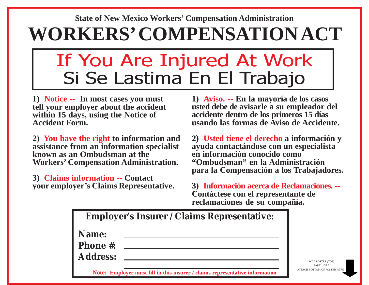## **WORKERS' COMPENSATION ACT State of New Mexico Workers' Compensation Administration**

## If You Are Injured At Work Si Se Lastima En El Trabajo

**1) Notice -- In most cases you must tell your employer about the accident within 15 days, using the Notice of Accident Form.**

**2) You have the right to information and assistance from an information specialist known as an Ombudsman at the Workers' Compensation Administration.**

**3) Claims information -- Contact your employer's Claims Representative.**

**1) Aviso. -- En la mayoría de los casos usted debe de avisarle a su empleador del accidente dentro de los primeros 15 días usando las formas de Aviso de Accidente.**

**2) Usted tiene el derecho a información y ayuda contactándose con un especialista en información conocido como "Ombudsman" en la Administración para la Compensación a los Trabajadores.**

**3) Información acerca de Reclamaciones. -- Contáctese con el representante de reclamaciones de su compañía.**

|                          | <b>Employer's Insurer / Claims Representative:</b>                            |                                             |
|--------------------------|-------------------------------------------------------------------------------|---------------------------------------------|
| Name:<br><b>Phone #:</b> |                                                                               |                                             |
| <b>Address:</b>          |                                                                               | WCA POSTER (TOP)                            |
|                          | Note: Employer must fill in this insurer / claims representative information. | PART 1 OF 2<br>ATTACH ROTTOM OF POSTER HERI |